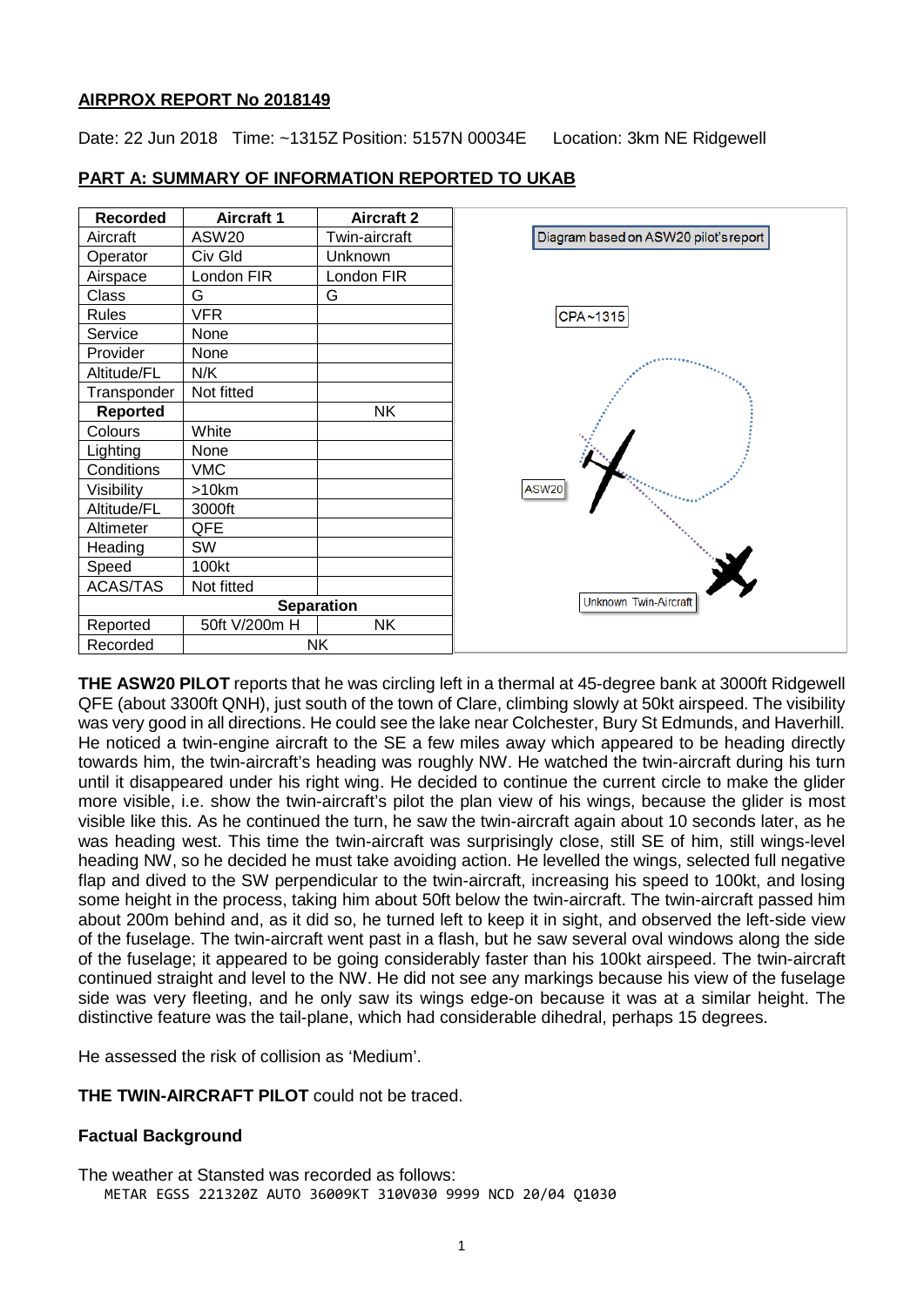### **AIRPROX REPORT No 2018149**

Date: 22 Jun 2018 Time: ~1315Z Position: 5157N 00034E Location: 3km NE Ridgewell

| <b>Recorded</b>   | <b>Aircraft 1</b> | <b>Aircraft 2</b> |                                       |
|-------------------|-------------------|-------------------|---------------------------------------|
| Aircraft          | ASW <sub>20</sub> | Twin-aircraft     | Diagram based on ASW20 pilot's report |
| Operator          | Civ Gld           | Unknown           |                                       |
| Airspace          | London FIR        | London FIR        |                                       |
| Class             | G                 | G                 |                                       |
| Rules             | <b>VFR</b>        |                   | CPA~1315                              |
| Service           | None              |                   |                                       |
| Provider          | None              |                   |                                       |
| Altitude/FL       | N/K               |                   |                                       |
| Transponder       | Not fitted        |                   |                                       |
| Reported          |                   | <b>NK</b>         |                                       |
| Colours           | White             |                   |                                       |
| Lighting          | None              |                   |                                       |
| Conditions        | <b>VMC</b>        |                   |                                       |
| Visibility        | >10km             |                   | ASW <sub>20</sub>                     |
| Altitude/FL       | 3000ft            |                   |                                       |
| Altimeter         | QFE               |                   |                                       |
| Heading           | SW                |                   |                                       |
| Speed             | 100kt             |                   |                                       |
| ACAS/TAS          | Not fitted        |                   |                                       |
| <b>Separation</b> |                   |                   | Unknown Twin-Aircraft                 |
| Reported          | 50ft V/200m H     | <b>NK</b>         |                                       |
| Recorded          | <b>NK</b>         |                   |                                       |

# **PART A: SUMMARY OF INFORMATION REPORTED TO UKAB**

**THE ASW20 PILOT** reports that he was circling left in a thermal at 45-degree bank at 3000ft Ridgewell QFE (about 3300ft QNH), just south of the town of Clare, climbing slowly at 50kt airspeed. The visibility was very good in all directions. He could see the lake near Colchester, Bury St Edmunds, and Haverhill. He noticed a twin-engine aircraft to the SE a few miles away which appeared to be heading directly towards him, the twin-aircraft's heading was roughly NW. He watched the twin-aircraft during his turn until it disappeared under his right wing. He decided to continue the current circle to make the glider more visible, i.e. show the twin-aircraft's pilot the plan view of his wings, because the glider is most visible like this. As he continued the turn, he saw the twin-aircraft again about 10 seconds later, as he was heading west. This time the twin-aircraft was surprisingly close, still SE of him, still wings-level heading NW, so he decided he must take avoiding action. He levelled the wings, selected full negative flap and dived to the SW perpendicular to the twin-aircraft, increasing his speed to 100kt, and losing some height in the process, taking him about 50ft below the twin-aircraft. The twin-aircraft passed him about 200m behind and, as it did so, he turned left to keep it in sight, and observed the left-side view of the fuselage. The twin-aircraft went past in a flash, but he saw several oval windows along the side of the fuselage; it appeared to be going considerably faster than his 100kt airspeed. The twin-aircraft continued straight and level to the NW. He did not see any markings because his view of the fuselage side was very fleeting, and he only saw its wings edge-on because it was at a similar height. The distinctive feature was the tail-plane, which had considerable dihedral, perhaps 15 degrees.

He assessed the risk of collision as 'Medium'.

**THE TWIN-AIRCRAFT PILOT** could not be traced.

# **Factual Background**

The weather at Stansted was recorded as follows: METAR EGSS 221320Z AUTO 36009KT 310V030 9999 NCD 20/04 Q1030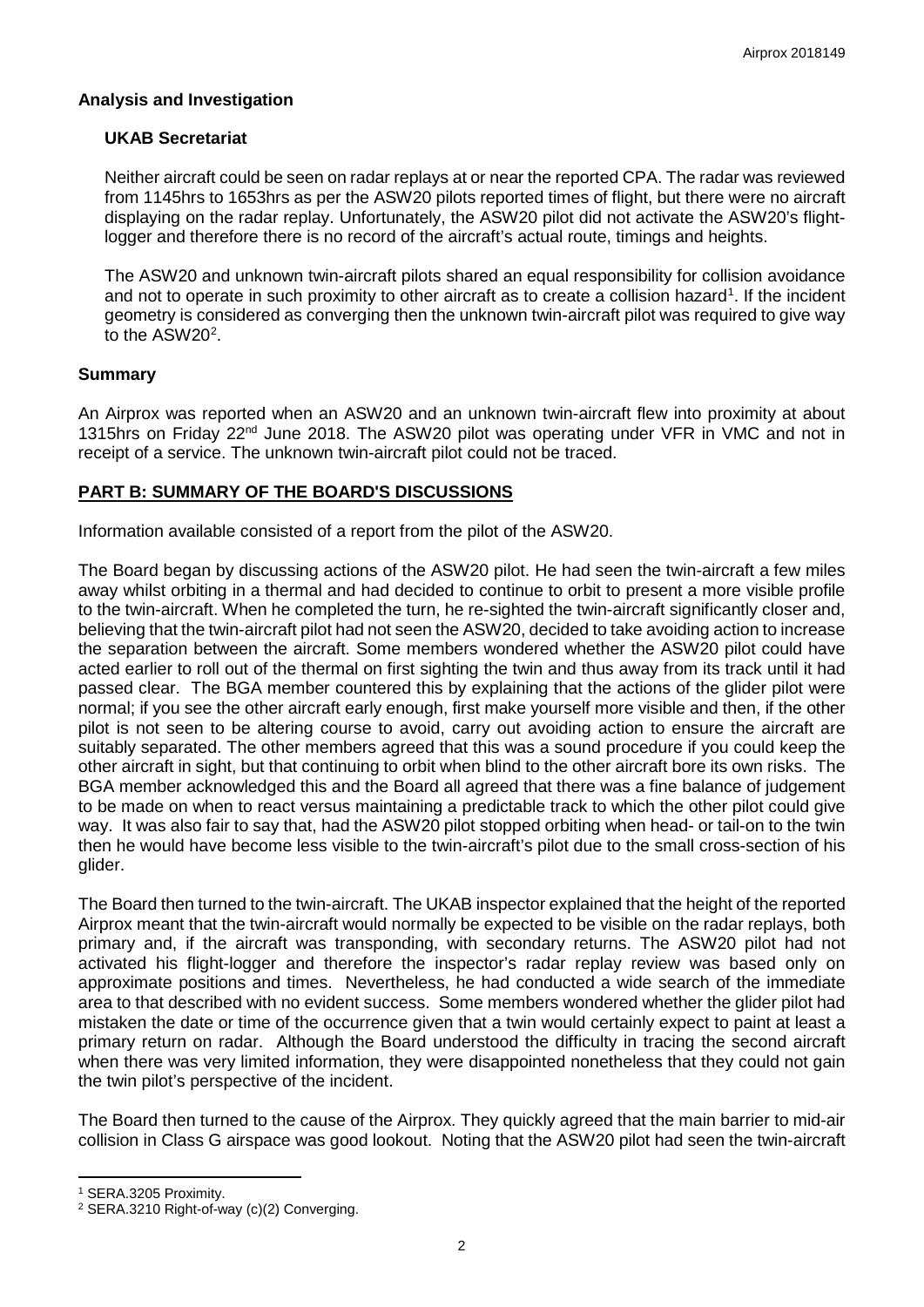#### **Analysis and Investigation**

### **UKAB Secretariat**

Neither aircraft could be seen on radar replays at or near the reported CPA. The radar was reviewed from 1145hrs to 1653hrs as per the ASW20 pilots reported times of flight, but there were no aircraft displaying on the radar replay. Unfortunately, the ASW20 pilot did not activate the ASW20's flightlogger and therefore there is no record of the aircraft's actual route, timings and heights.

The ASW20 and unknown twin-aircraft pilots shared an equal responsibility for collision avoidance and not to operate in such proximity to other aircraft as to create a collision hazard<sup>[1](#page-1-0)</sup>. If the incident geometry is considered as converging then the unknown twin-aircraft pilot was required to give way to the  $ASW20<sup>2</sup>$  $ASW20<sup>2</sup>$  $ASW20<sup>2</sup>$ .

### **Summary**

An Airprox was reported when an ASW20 and an unknown twin-aircraft flew into proximity at about 1315hrs on Friday 22<sup>nd</sup> June 2018. The ASW20 pilot was operating under VFR in VMC and not in receipt of a service. The unknown twin-aircraft pilot could not be traced.

# **PART B: SUMMARY OF THE BOARD'S DISCUSSIONS**

Information available consisted of a report from the pilot of the ASW20.

The Board began by discussing actions of the ASW20 pilot. He had seen the twin-aircraft a few miles away whilst orbiting in a thermal and had decided to continue to orbit to present a more visible profile to the twin-aircraft. When he completed the turn, he re-sighted the twin-aircraft significantly closer and, believing that the twin-aircraft pilot had not seen the ASW20, decided to take avoiding action to increase the separation between the aircraft. Some members wondered whether the ASW20 pilot could have acted earlier to roll out of the thermal on first sighting the twin and thus away from its track until it had passed clear. The BGA member countered this by explaining that the actions of the glider pilot were normal; if you see the other aircraft early enough, first make yourself more visible and then, if the other pilot is not seen to be altering course to avoid, carry out avoiding action to ensure the aircraft are suitably separated. The other members agreed that this was a sound procedure if you could keep the other aircraft in sight, but that continuing to orbit when blind to the other aircraft bore its own risks. The BGA member acknowledged this and the Board all agreed that there was a fine balance of judgement to be made on when to react versus maintaining a predictable track to which the other pilot could give way. It was also fair to say that, had the ASW20 pilot stopped orbiting when head- or tail-on to the twin then he would have become less visible to the twin-aircraft's pilot due to the small cross-section of his glider.

The Board then turned to the twin-aircraft. The UKAB inspector explained that the height of the reported Airprox meant that the twin-aircraft would normally be expected to be visible on the radar replays, both primary and, if the aircraft was transponding, with secondary returns. The ASW20 pilot had not activated his flight-logger and therefore the inspector's radar replay review was based only on approximate positions and times. Nevertheless, he had conducted a wide search of the immediate area to that described with no evident success. Some members wondered whether the glider pilot had mistaken the date or time of the occurrence given that a twin would certainly expect to paint at least a primary return on radar. Although the Board understood the difficulty in tracing the second aircraft when there was very limited information, they were disappointed nonetheless that they could not gain the twin pilot's perspective of the incident.

The Board then turned to the cause of the Airprox. They quickly agreed that the main barrier to mid-air collision in Class G airspace was good lookout. Noting that the ASW20 pilot had seen the twin-aircraft

l

<span id="page-1-0"></span><sup>1</sup> SERA.3205 Proximity.

<span id="page-1-1"></span><sup>2</sup> SERA.3210 Right-of-way (c)(2) Converging.